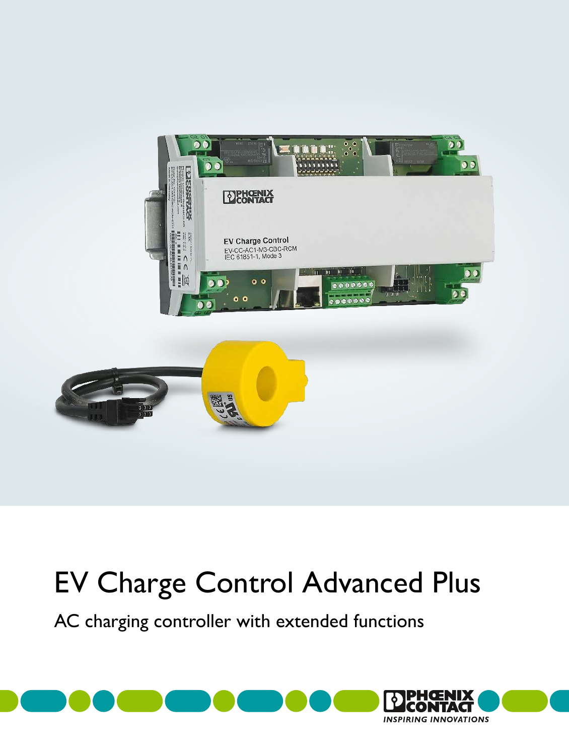



## EV Charge Control Advanced Plus

AC charging controller with extended functions